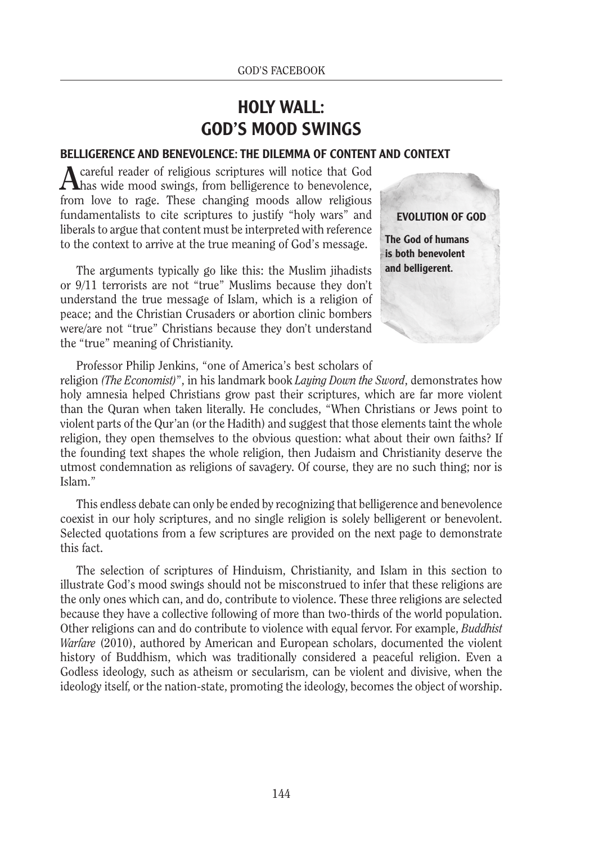## HOLY WALL: GOD'S MOOD SWINGS

## BELLIGERENCE AND BENEVOLENCE: THE DILEMMA OF CONTENT AND CONTEXT

**A** careful reader of religious scriptures will notice that God has wide mood swings, from belligerence to benevolence, from love to rage. These changing moods allow religious fundamentalists to cite scriptures to justify "holy wars" and liberals to argue that content must be interpreted with reference to the context to arrive at the true meaning of God's message.

The arguments typically go like this: the Muslim jihadists or 9/11 terrorists are not "true" Muslims because they don't understand the true message of Islam, which is a religion of peace; and the Christian Crusaders or abortion clinic bombers were/are not "true" Christians because they don't understand the "true" meaning of Christianity.

EVOLUTION OF GOD

The God of humans is both benevolent and belligerent.

Professor Philip Jenkins, "one of America's best scholars of

religion *(The Economist)*", in his landmark book *Laying Down the Sword*, demonstrates how holy amnesia helped Christians grow past their scriptures, which are far more violent than the Quran when taken literally. He concludes, "When Christians or Jews point to violent parts of the Qur'an (or the Hadith) and suggest that those elements taint the whole religion, they open themselves to the obvious question: what about their own faiths? If the founding text shapes the whole religion, then Judaism and Christianity deserve the utmost condemnation as religions of savagery. Of course, they are no such thing; nor is Islam."

This endless debate can only be ended by recognizing that belligerence and benevolence coexist in our holy scriptures, and no single religion is solely belligerent or benevolent. Selected quotations from a few scriptures are provided on the next page to demonstrate this fact.

The selection of scriptures of Hinduism, Christianity, and Islam in this section to illustrate God's mood swings should not be misconstrued to infer that these religions are the only ones which can, and do, contribute to violence. These three religions are selected because they have a collective following of more than two-thirds of the world population. Other religions can and do contribute to violence with equal fervor. For example, *Buddhist Warfare* (2010), authored by American and European scholars, documented the violent history of Buddhism, which was traditionally considered a peaceful religion. Even a Godless ideology, such as atheism or secularism, can be violent and divisive, when the ideology itself, or the nation-state, promoting the ideology, becomes the object of worship.